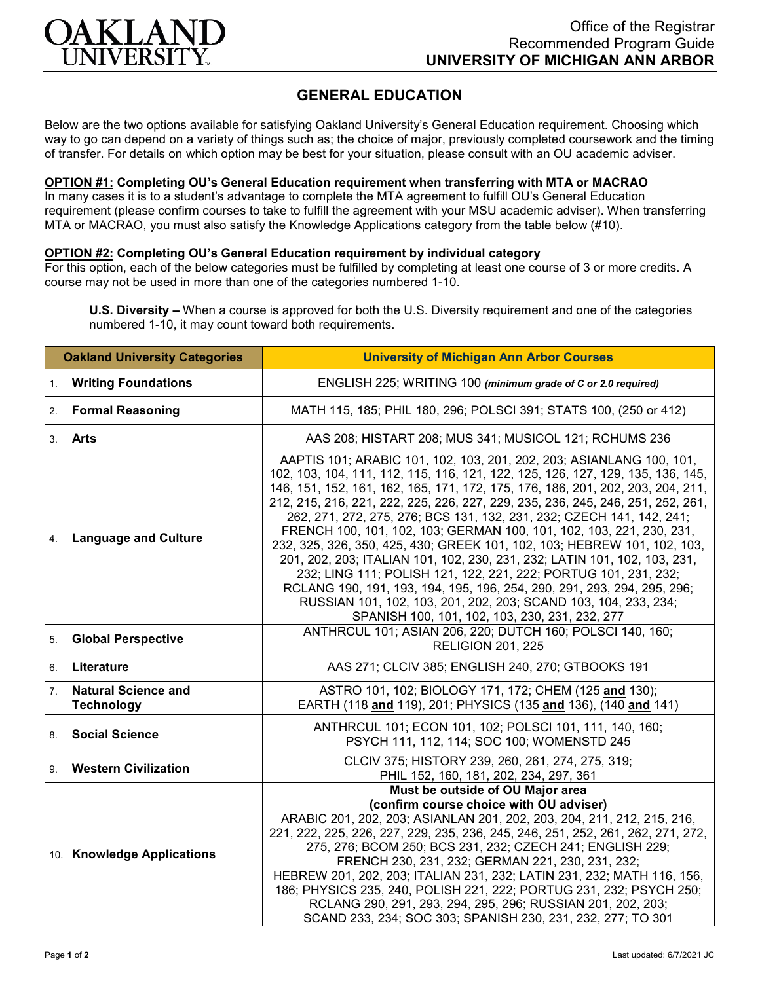

# **GENERAL EDUCATION**

Below are the two options available for satisfying Oakland University's General Education requirement. Choosing which way to go can depend on a variety of things such as; the choice of major, previously completed coursework and the timing of transfer. For details on which option may be best for your situation, please consult with an OU academic adviser.

## **OPTION #1: Completing OU's General Education requirement when transferring with MTA or MACRAO**

In many cases it is to a student's advantage to complete the MTA agreement to fulfill OU's General Education requirement (please confirm courses to take to fulfill the agreement with your MSU academic adviser). When transferring MTA or MACRAO, you must also satisfy the Knowledge Applications category from the table below (#10).

## **OPTION #2: Completing OU's General Education requirement by individual category**

For this option, each of the below categories must be fulfilled by completing at least one course of 3 or more credits. A course may not be used in more than one of the categories numbered 1-10.

**U.S. Diversity –** When a course is approved for both the U.S. Diversity requirement and one of the categories numbered 1-10, it may count toward both requirements.

| <b>Oakland University Categories</b> |                                                 | <b>University of Michigan Ann Arbor Courses</b>                                                                                                                                                                                                                                                                                                                                                                                                                                                                                                                                                                                                                                                                                                                                                                                                                                                            |
|--------------------------------------|-------------------------------------------------|------------------------------------------------------------------------------------------------------------------------------------------------------------------------------------------------------------------------------------------------------------------------------------------------------------------------------------------------------------------------------------------------------------------------------------------------------------------------------------------------------------------------------------------------------------------------------------------------------------------------------------------------------------------------------------------------------------------------------------------------------------------------------------------------------------------------------------------------------------------------------------------------------------|
| 1.                                   | <b>Writing Foundations</b>                      | ENGLISH 225; WRITING 100 (minimum grade of C or 2.0 required)                                                                                                                                                                                                                                                                                                                                                                                                                                                                                                                                                                                                                                                                                                                                                                                                                                              |
| 2.                                   | <b>Formal Reasoning</b>                         | MATH 115, 185; PHIL 180, 296; POLSCI 391; STATS 100, (250 or 412)                                                                                                                                                                                                                                                                                                                                                                                                                                                                                                                                                                                                                                                                                                                                                                                                                                          |
| 3.                                   | <b>Arts</b>                                     | AAS 208; HISTART 208; MUS 341; MUSICOL 121; RCHUMS 236                                                                                                                                                                                                                                                                                                                                                                                                                                                                                                                                                                                                                                                                                                                                                                                                                                                     |
| 4.                                   | <b>Language and Culture</b>                     | AAPTIS 101; ARABIC 101, 102, 103, 201, 202, 203; ASIANLANG 100, 101,<br>102, 103, 104, 111, 112, 115, 116, 121, 122, 125, 126, 127, 129, 135, 136, 145,<br>146, 151, 152, 161, 162, 165, 171, 172, 175, 176, 186, 201, 202, 203, 204, 211,<br>212, 215, 216, 221, 222, 225, 226, 227, 229, 235, 236, 245, 246, 251, 252, 261,<br>262, 271, 272, 275, 276; BCS 131, 132, 231, 232; CZECH 141, 142, 241;<br>FRENCH 100, 101, 102, 103; GERMAN 100, 101, 102, 103, 221, 230, 231,<br>232, 325, 326, 350, 425, 430; GREEK 101, 102, 103; HEBREW 101, 102, 103,<br>201, 202, 203; ITALIAN 101, 102, 230, 231, 232; LATIN 101, 102, 103, 231,<br>232; LING 111; POLISH 121, 122, 221, 222; PORTUG 101, 231, 232;<br>RCLANG 190, 191, 193, 194, 195, 196, 254, 290, 291, 293, 294, 295, 296;<br>RUSSIAN 101, 102, 103, 201, 202, 203; SCAND 103, 104, 233, 234;<br>SPANISH 100, 101, 102, 103, 230, 231, 232, 277 |
| 5.                                   | <b>Global Perspective</b>                       | ANTHRCUL 101; ASIAN 206, 220; DUTCH 160; POLSCI 140, 160;<br><b>RELIGION 201, 225</b>                                                                                                                                                                                                                                                                                                                                                                                                                                                                                                                                                                                                                                                                                                                                                                                                                      |
| 6.                                   | Literature                                      | AAS 271; CLCIV 385; ENGLISH 240, 270; GTBOOKS 191                                                                                                                                                                                                                                                                                                                                                                                                                                                                                                                                                                                                                                                                                                                                                                                                                                                          |
| 7.                                   | <b>Natural Science and</b><br><b>Technology</b> | ASTRO 101, 102; BIOLOGY 171, 172; CHEM (125 and 130);<br>EARTH (118 and 119), 201; PHYSICS (135 and 136), (140 and 141)                                                                                                                                                                                                                                                                                                                                                                                                                                                                                                                                                                                                                                                                                                                                                                                    |
| 8.                                   | <b>Social Science</b>                           | ANTHRCUL 101; ECON 101, 102; POLSCI 101, 111, 140, 160;<br>PSYCH 111, 112, 114; SOC 100; WOMENSTD 245                                                                                                                                                                                                                                                                                                                                                                                                                                                                                                                                                                                                                                                                                                                                                                                                      |
| 9.                                   | <b>Western Civilization</b>                     | CLCIV 375; HISTORY 239, 260, 261, 274, 275, 319;<br>PHIL 152, 160, 181, 202, 234, 297, 361                                                                                                                                                                                                                                                                                                                                                                                                                                                                                                                                                                                                                                                                                                                                                                                                                 |
|                                      | 10. Knowledge Applications                      | Must be outside of OU Major area<br>(confirm course choice with OU adviser)<br>ARABIC 201, 202, 203; ASIANLAN 201, 202, 203, 204, 211, 212, 215, 216,<br>221, 222, 225, 226, 227, 229, 235, 236, 245, 246, 251, 252, 261, 262, 271, 272,<br>275, 276; BCOM 250; BCS 231, 232; CZECH 241; ENGLISH 229;<br>FRENCH 230, 231, 232; GERMAN 221, 230, 231, 232;<br>HEBREW 201, 202, 203; ITALIAN 231, 232; LATIN 231, 232; MATH 116, 156,<br>186; PHYSICS 235, 240, POLISH 221, 222; PORTUG 231, 232; PSYCH 250;<br>RCLANG 290, 291, 293, 294, 295, 296; RUSSIAN 201, 202, 203;<br>SCAND 233, 234; SOC 303; SPANISH 230, 231, 232, 277; TO 301                                                                                                                                                                                                                                                                   |